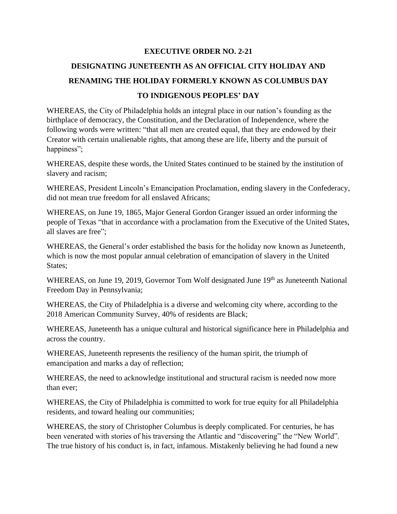#### **EXECUTIVE ORDER NO. 2-21**

# **DESIGNATING JUNETEENTH AS AN OFFICIAL CITY HOLIDAY AND RENAMING THE HOLIDAY FORMERLY KNOWN AS COLUMBUS DAY TO INDIGENOUS PEOPLES' DAY**

WHEREAS, the City of Philadelphia holds an integral place in our nation's founding as the birthplace of democracy, the Constitution, and the Declaration of Independence, where the following words were written: "that all men are created equal, that they are endowed by their Creator with certain unalienable rights, that among these are life, liberty and the pursuit of happiness";

WHEREAS, despite these words, the United States continued to be stained by the institution of slavery and racism;

WHEREAS, President Lincoln's Emancipation Proclamation, ending slavery in the Confederacy, did not mean true freedom for all enslaved Africans;

WHEREAS, on June 19, 1865, Major General Gordon Granger issued an order informing the people of Texas "that in accordance with a proclamation from the Executive of the United States, all slaves are free";

WHEREAS, the General's order established the basis for the holiday now known as Juneteenth, which is now the most popular annual celebration of emancipation of slavery in the United States:

WHEREAS, on June 19, 2019, Governor Tom Wolf designated June 19<sup>th</sup> as Juneteenth National Freedom Day in Pennsylvania;

WHEREAS, the City of Philadelphia is a diverse and welcoming city where, according to the 2018 American Community Survey, 40% of residents are Black;

WHEREAS, Juneteenth has a unique cultural and historical significance here in Philadelphia and across the country.

WHEREAS, Juneteenth represents the resiliency of the human spirit, the triumph of emancipation and marks a day of reflection;

WHEREAS, the need to acknowledge institutional and structural racism is needed now more than ever;

WHEREAS, the City of Philadelphia is committed to work for true equity for all Philadelphia residents, and toward healing our communities;

WHEREAS, the story of Christopher Columbus is deeply complicated. For centuries, he has been venerated with stories of his traversing the Atlantic and "discovering" the "New World". The true history of his conduct is, in fact, infamous. Mistakenly believing he had found a new